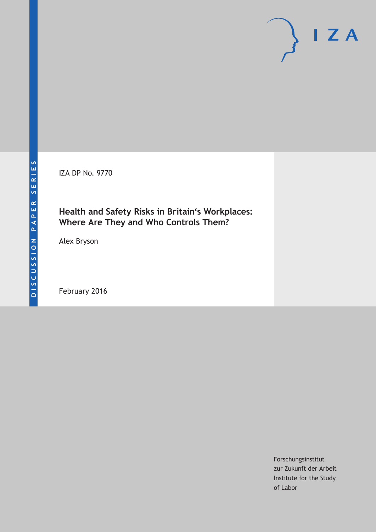IZA DP No. 9770

## **Health and Safety Risks in Britain's Workplaces: Where Are They and Who Controls Them?**

Alex Bryson

February 2016

Forschungsinstitut zur Zukunft der Arbeit Institute for the Study of Labor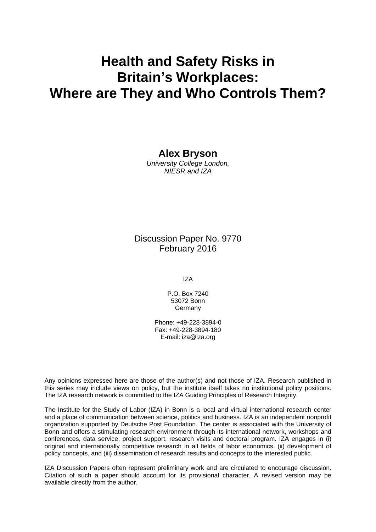# **Health and Safety Risks in Britain's Workplaces: Where are They and Who Controls Them?**

### **Alex Bryson**

*University College London, NIESR and IZA* 

## Discussion Paper No. 9770 February 2016

IZA

P.O. Box 7240 53072 Bonn Germany

Phone: +49-228-3894-0 Fax: +49-228-3894-180 E-mail: iza@iza.org

Any opinions expressed here are those of the author(s) and not those of IZA. Research published in this series may include views on policy, but the institute itself takes no institutional policy positions. The IZA research network is committed to the IZA Guiding Principles of Research Integrity.

The Institute for the Study of Labor (IZA) in Bonn is a local and virtual international research center and a place of communication between science, politics and business. IZA is an independent nonprofit organization supported by Deutsche Post Foundation. The center is associated with the University of Bonn and offers a stimulating research environment through its international network, workshops and conferences, data service, project support, research visits and doctoral program. IZA engages in (i) original and internationally competitive research in all fields of labor economics, (ii) development of policy concepts, and (iii) dissemination of research results and concepts to the interested public.

IZA Discussion Papers often represent preliminary work and are circulated to encourage discussion. Citation of such a paper should account for its provisional character. A revised version may be available directly from the author.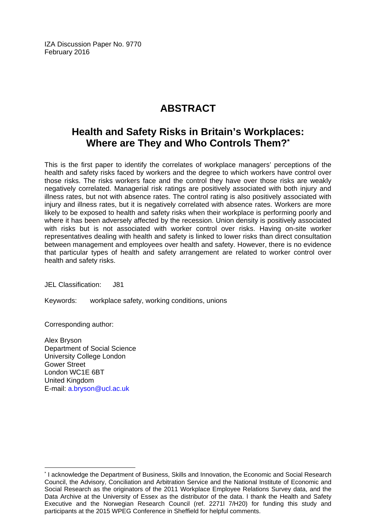IZA Discussion Paper No. 9770 February 2016

## **ABSTRACT**

## **Health and Safety Risks in Britain's Workplaces: Where are They and Who Controls Them?\***

This is the first paper to identify the correlates of workplace managers' perceptions of the health and safety risks faced by workers and the degree to which workers have control over those risks. The risks workers face and the control they have over those risks are weakly negatively correlated. Managerial risk ratings are positively associated with both injury and illness rates, but not with absence rates. The control rating is also positively associated with injury and illness rates, but it is negatively correlated with absence rates. Workers are more likely to be exposed to health and safety risks when their workplace is performing poorly and where it has been adversely affected by the recession. Union density is positively associated with risks but is not associated with worker control over risks. Having on-site worker representatives dealing with health and safety is linked to lower risks than direct consultation between management and employees over health and safety. However, there is no evidence that particular types of health and safety arrangement are related to worker control over health and safety risks.

JEL Classification: J81

Keywords: workplace safety, working conditions, unions

Corresponding author:

 $\overline{\phantom{a}}$ 

Alex Bryson Department of Social Science University College London Gower Street London WC1E 6BT United Kingdom E-mail: a.bryson@ucl.ac.uk

<sup>\*</sup> I acknowledge the Department of Business, Skills and Innovation, the Economic and Social Research Council, the Advisory, Conciliation and Arbitration Service and the National Institute of Economic and Social Research as the originators of the 2011 Workplace Employee Relations Survey data, and the Data Archive at the University of Essex as the distributor of the data. I thank the Health and Safety Executive and the Norwegian Research Council (ref. 2271l 7/H20) for funding this study and participants at the 2015 WPEG Conference in Sheffield for helpful comments.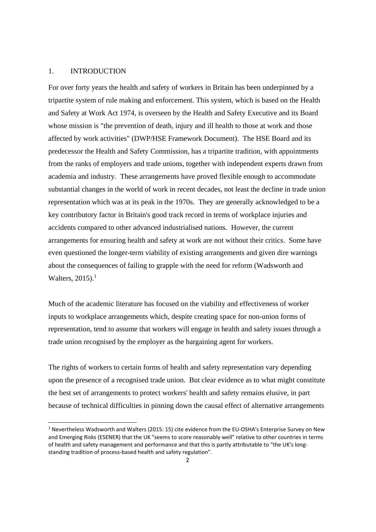#### 1. INTRODUCTION

For over forty years the health and safety of workers in Britain has been underpinned by a tripartite system of rule making and enforcement. This system, which is based on the Health and Safety at Work Act 1974, is overseen by the Health and Safety Executive and its Board whose mission is "the prevention of death, injury and ill health to those at work and those affected by work activities" (DWP/HSE Framework Document). The HSE Board and its predecessor the Health and Safety Commission, has a tripartite tradition, with appointments from the ranks of employers and trade unions, together with independent experts drawn from academia and industry. These arrangements have proved flexible enough to accommodate substantial changes in the world of work in recent decades, not least the decline in trade union representation which was at its peak in the 1970s. They are generally acknowledged to be a key contributory factor in Britain's good track record in terms of workplace injuries and accidents compared to other advanced industrialised nations. However, the current arrangements for ensuring health and safety at work are not without their critics. Some have even questioned the longer-term viability of existing arrangements and given dire warnings about the consequences of failing to grapple with the need for reform (Wadsworth and Walters,  $2015$ ).<sup>1</sup>

Much of the academic literature has focused on the viability and effectiveness of worker inputs to workplace arrangements which, despite creating space for non-union forms of representation, tend to assume that workers will engage in health and safety issues through a trade union recognised by the employer as the bargaining agent for workers.

The rights of workers to certain forms of health and safety representation vary depending upon the presence of a recognised trade union. But clear evidence as to what might constitute the best set of arrangements to protect workers' health and safety remains elusive, in part because of technical difficulties in pinning down the causal effect of alternative arrangements

<sup>1</sup> Nevertheless Wadsworth and Walters (2015: 15) cite evidence from the EU‐OSHA's Enterprise Survey on New and Emerging Risks (ESENER) that the UK "seems to score reasonably well" relative to other countries in terms of health and safety management and performance and that this is partly attributable to "the UK's long‐ standing tradition of process‐based health and safety regulation".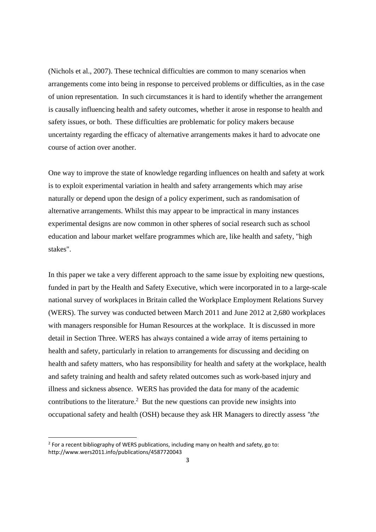(Nichols et al., 2007). These technical difficulties are common to many scenarios when arrangements come into being in response to perceived problems or difficulties, as in the case of union representation. In such circumstances it is hard to identify whether the arrangement is causally influencing health and safety outcomes, whether it arose in response to health and safety issues, or both. These difficulties are problematic for policy makers because uncertainty regarding the efficacy of alternative arrangements makes it hard to advocate one course of action over another.

One way to improve the state of knowledge regarding influences on health and safety at work is to exploit experimental variation in health and safety arrangements which may arise naturally or depend upon the design of a policy experiment, such as randomisation of alternative arrangements. Whilst this may appear to be impractical in many instances experimental designs are now common in other spheres of social research such as school education and labour market welfare programmes which are, like health and safety, "high stakes".

In this paper we take a very different approach to the same issue by exploiting new questions, funded in part by the Health and Safety Executive, which were incorporated in to a large-scale national survey of workplaces in Britain called the Workplace Employment Relations Survey (WERS). The survey was conducted between March 2011 and June 2012 at 2,680 workplaces with managers responsible for Human Resources at the workplace. It is discussed in more detail in Section Three. WERS has always contained a wide array of items pertaining to health and safety, particularly in relation to arrangements for discussing and deciding on health and safety matters, who has responsibility for health and safety at the workplace, health and safety training and health and safety related outcomes such as work-based injury and illness and sickness absence. WERS has provided the data for many of the academic contributions to the literature.<sup>2</sup> But the new questions can provide new insights into occupational safety and health (OSH) because they ask HR Managers to directly assess *"the* 

 $2$  For a recent bibliography of WERS publications, including many on health and safety, go to: http://www.wers2011.info/publications/4587720043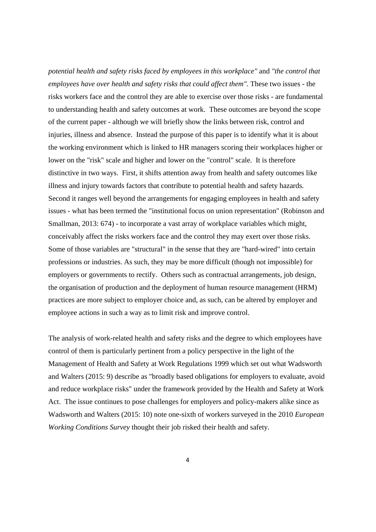*potential health and safety risks faced by employees in this workplace"* and *"the control that employees have over health and safety risks that could affect them".* These two issues - the risks workers face and the control they are able to exercise over those risks - are fundamental to understanding health and safety outcomes at work. These outcomes are beyond the scope of the current paper - although we will briefly show the links between risk, control and injuries, illness and absence. Instead the purpose of this paper is to identify what it is about the working environment which is linked to HR managers scoring their workplaces higher or lower on the "risk" scale and higher and lower on the "control" scale. It is therefore distinctive in two ways. First, it shifts attention away from health and safety outcomes like illness and injury towards factors that contribute to potential health and safety hazards. Second it ranges well beyond the arrangements for engaging employees in health and safety issues - what has been termed the "institutional focus on union representation" (Robinson and Smallman, 2013: 674) - to incorporate a vast array of workplace variables which might, conceivably affect the risks workers face and the control they may exert over those risks. Some of those variables are "structural" in the sense that they are "hard-wired" into certain professions or industries. As such, they may be more difficult (though not impossible) for employers or governments to rectify. Others such as contractual arrangements, job design, the organisation of production and the deployment of human resource management (HRM) practices are more subject to employer choice and, as such, can be altered by employer and employee actions in such a way as to limit risk and improve control.

The analysis of work-related health and safety risks and the degree to which employees have control of them is particularly pertinent from a policy perspective in the light of the Management of Health and Safety at Work Regulations 1999 which set out what Wadsworth and Walters (2015: 9) describe as "broadly based obligations for employers to evaluate, avoid and reduce workplace risks" under the framework provided by the Health and Safety at Work Act. The issue continues to pose challenges for employers and policy-makers alike since as Wadsworth and Walters (2015: 10) note one-sixth of workers surveyed in the 2010 *European Working Conditions Survey* thought their job risked their health and safety.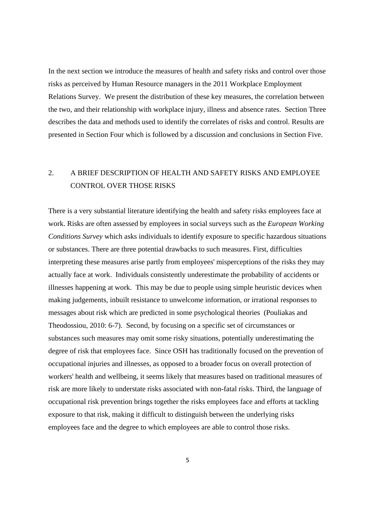In the next section we introduce the measures of health and safety risks and control over those risks as perceived by Human Resource managers in the 2011 Workplace Employment Relations Survey. We present the distribution of these key measures, the correlation between the two, and their relationship with workplace injury, illness and absence rates. Section Three describes the data and methods used to identify the correlates of risks and control. Results are presented in Section Four which is followed by a discussion and conclusions in Section Five.

## 2. A BRIEF DESCRIPTION OF HEALTH AND SAFETY RISKS AND EMPLOYEE CONTROL OVER THOSE RISKS

There is a very substantial literature identifying the health and safety risks employees face at work. Risks are often assessed by employees in social surveys such as the *European Working Conditions Survey* which asks individuals to identify exposure to specific hazardous situations or substances. There are three potential drawbacks to such measures. First, difficulties interpreting these measures arise partly from employees' misperceptions of the risks they may actually face at work. Individuals consistently underestimate the probability of accidents or illnesses happening at work. This may be due to people using simple heuristic devices when making judgements, inbuilt resistance to unwelcome information, or irrational responses to messages about risk which are predicted in some psychological theories (Pouliakas and Theodossiou, 2010: 6-7). Second, by focusing on a specific set of circumstances or substances such measures may omit some risky situations, potentially underestimating the degree of risk that employees face. Since OSH has traditionally focused on the prevention of occupational injuries and illnesses, as opposed to a broader focus on overall protection of workers' health and wellbeing, it seems likely that measures based on traditional measures of risk are more likely to understate risks associated with non-fatal risks. Third, the language of occupational risk prevention brings together the risks employees face and efforts at tackling exposure to that risk, making it difficult to distinguish between the underlying risks employees face and the degree to which employees are able to control those risks.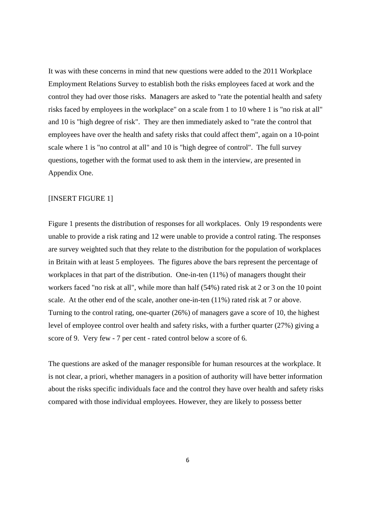It was with these concerns in mind that new questions were added to the 2011 Workplace Employment Relations Survey to establish both the risks employees faced at work and the control they had over those risks. Managers are asked to "rate the potential health and safety risks faced by employees in the workplace" on a scale from 1 to 10 where 1 is "no risk at all" and 10 is "high degree of risk". They are then immediately asked to "rate the control that employees have over the health and safety risks that could affect them", again on a 10-point scale where 1 is "no control at all" and 10 is "high degree of control". The full survey questions, together with the format used to ask them in the interview, are presented in Appendix One.

#### [INSERT FIGURE 1]

Figure 1 presents the distribution of responses for all workplaces. Only 19 respondents were unable to provide a risk rating and 12 were unable to provide a control rating. The responses are survey weighted such that they relate to the distribution for the population of workplaces in Britain with at least 5 employees. The figures above the bars represent the percentage of workplaces in that part of the distribution. One-in-ten (11%) of managers thought their workers faced "no risk at all", while more than half (54%) rated risk at 2 or 3 on the 10 point scale. At the other end of the scale, another one-in-ten (11%) rated risk at 7 or above. Turning to the control rating, one-quarter (26%) of managers gave a score of 10, the highest level of employee control over health and safety risks, with a further quarter (27%) giving a score of 9. Very few - 7 per cent - rated control below a score of 6.

The questions are asked of the manager responsible for human resources at the workplace. It is not clear, a priori, whether managers in a position of authority will have better information about the risks specific individuals face and the control they have over health and safety risks compared with those individual employees. However, they are likely to possess better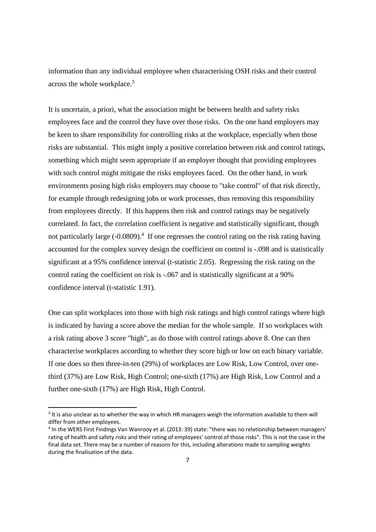information than any individual employee when characterising OSH risks and their control across the whole workplace.3

It is uncertain, a priori, what the association might be between health and safety risks employees face and the control they have over those risks. On the one hand employers may be keen to share responsibility for controlling risks at the workplace, especially when those risks are substantial. This might imply a positive correlation between risk and control ratings, something which might seem appropriate if an employer thought that providing employees with such control might mitigate the risks employees faced. On the other hand, in work environments posing high risks employers may choose to "take control" of that risk directly, for example through redesigning jobs or work processes, thus removing this responsibility from employees directly. If this happens then risk and control ratings may be negatively correlated. In fact, the correlation coefficient is negative and statistically significant, though not particularly large  $(-0.0809)^{4}$  If one regresses the control rating on the risk rating having accounted for the complex survey design the coefficient on control is -.098 and is statistically significant at a 95% confidence interval (t-statistic 2.05). Regressing the risk rating on the control rating the coefficient on risk is -.067 and is statistically significant at a 90% confidence interval (t-statistic 1.91).

One can split workplaces into those with high risk ratings and high control ratings where high is indicated by having a score above the median for the whole sample. If so workplaces with a risk rating above 3 score "high", as do those with control ratings above 8. One can then characterise workplaces according to whether they score high or low on each binary variable. If one does so then three-in-ten (29%) of workplaces are Low Risk, Low Control, over onethird (37%) are Low Risk, High Control; one-sixth (17%) are High Risk, Low Control and a further one-sixth (17%) are High Risk, High Control.

<sup>&</sup>lt;sup>3</sup> It is also unclear as to whether the way in which HR managers weigh the information available to them will differ from other employees.

<sup>4</sup> In the WERS First Findings Van Wanrooy et al. (2013: 39) state: "there was no relationship between managers' rating of health and safety risks and their rating of employees' control of those risks". This is not the case in the final data set. There may be a number of reasons for this, including alterations made to sampling weights during the finalisation of the data.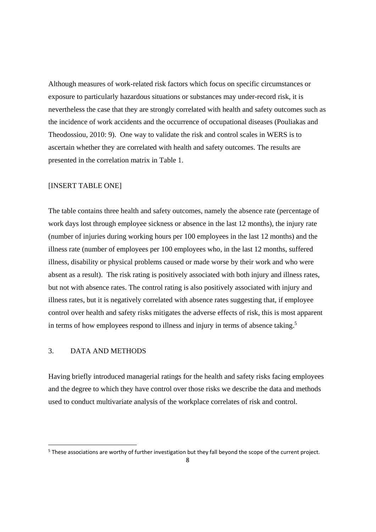Although measures of work-related risk factors which focus on specific circumstances or exposure to particularly hazardous situations or substances may under-record risk, it is nevertheless the case that they are strongly correlated with health and safety outcomes such as the incidence of work accidents and the occurrence of occupational diseases (Pouliakas and Theodossiou, 2010: 9). One way to validate the risk and control scales in WERS is to ascertain whether they are correlated with health and safety outcomes. The results are presented in the correlation matrix in Table 1.

#### [INSERT TABLE ONE]

The table contains three health and safety outcomes, namely the absence rate (percentage of work days lost through employee sickness or absence in the last 12 months), the injury rate (number of injuries during working hours per 100 employees in the last 12 months) and the illness rate (number of employees per 100 employees who, in the last 12 months, suffered illness, disability or physical problems caused or made worse by their work and who were absent as a result). The risk rating is positively associated with both injury and illness rates, but not with absence rates. The control rating is also positively associated with injury and illness rates, but it is negatively correlated with absence rates suggesting that, if employee control over health and safety risks mitigates the adverse effects of risk, this is most apparent in terms of how employees respond to illness and injury in terms of absence taking.<sup>5</sup>

#### 3. DATA AND METHODS

Having briefly introduced managerial ratings for the health and safety risks facing employees and the degree to which they have control over those risks we describe the data and methods used to conduct multivariate analysis of the workplace correlates of risk and control.

<sup>&</sup>lt;sup>5</sup> These associations are worthy of further investigation but they fall beyond the scope of the current project.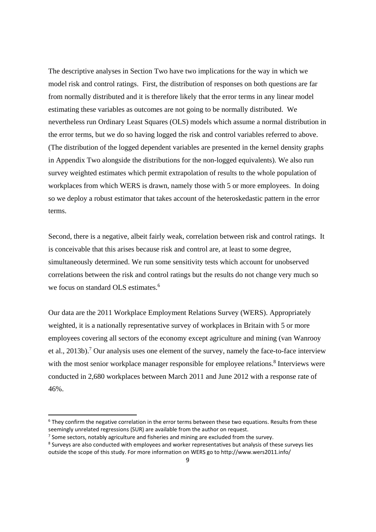The descriptive analyses in Section Two have two implications for the way in which we model risk and control ratings. First, the distribution of responses on both questions are far from normally distributed and it is therefore likely that the error terms in any linear model estimating these variables as outcomes are not going to be normally distributed. We nevertheless run Ordinary Least Squares (OLS) models which assume a normal distribution in the error terms, but we do so having logged the risk and control variables referred to above. (The distribution of the logged dependent variables are presented in the kernel density graphs in Appendix Two alongside the distributions for the non-logged equivalents). We also run survey weighted estimates which permit extrapolation of results to the whole population of workplaces from which WERS is drawn, namely those with 5 or more employees. In doing so we deploy a robust estimator that takes account of the heteroskedastic pattern in the error terms.

Second, there is a negative, albeit fairly weak, correlation between risk and control ratings. It is conceivable that this arises because risk and control are, at least to some degree, simultaneously determined. We run some sensitivity tests which account for unobserved correlations between the risk and control ratings but the results do not change very much so we focus on standard OLS estimates.<sup>6</sup>

Our data are the 2011 Workplace Employment Relations Survey (WERS). Appropriately weighted, it is a nationally representative survey of workplaces in Britain with 5 or more employees covering all sectors of the economy except agriculture and mining (van Wanrooy et al., 2013b).<sup>7</sup> Our analysis uses one element of the survey, namely the face-to-face interview with the most senior workplace manager responsible for employee relations.<sup>8</sup> Interviews were conducted in 2,680 workplaces between March 2011 and June 2012 with a response rate of 46%.

 $6$  They confirm the negative correlation in the error terms between these two equations. Results from these seemingly unrelated regressions (SUR) are available from the author on request.

 $<sup>7</sup>$  Some sectors, notably agriculture and fisheries and mining are excluded from the survey.</sup>

<sup>&</sup>lt;sup>8</sup> Surveys are also conducted with employees and worker representatives but analysis of these surveys lies outside the scope of this study. For more information on WERS go to http://www.wers2011.info/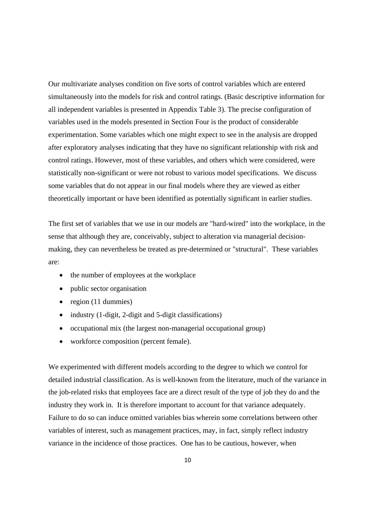Our multivariate analyses condition on five sorts of control variables which are entered simultaneously into the models for risk and control ratings. (Basic descriptive information for all independent variables is presented in Appendix Table 3). The precise configuration of variables used in the models presented in Section Four is the product of considerable experimentation. Some variables which one might expect to see in the analysis are dropped after exploratory analyses indicating that they have no significant relationship with risk and control ratings. However, most of these variables, and others which were considered, were statistically non-significant or were not robust to various model specifications. We discuss some variables that do not appear in our final models where they are viewed as either theoretically important or have been identified as potentially significant in earlier studies.

The first set of variables that we use in our models are "hard-wired" into the workplace, in the sense that although they are, conceivably, subject to alteration via managerial decisionmaking, they can nevertheless be treated as pre-determined or "structural". These variables are:

- the number of employees at the workplace
- public sector organisation
- region  $(11$  dummies)
- industry (1-digit, 2-digit and 5-digit classifications)
- occupational mix (the largest non-managerial occupational group)
- workforce composition (percent female).

We experimented with different models according to the degree to which we control for detailed industrial classification. As is well-known from the literature, much of the variance in the job-related risks that employees face are a direct result of the type of job they do and the industry they work in. It is therefore important to account for that variance adequately. Failure to do so can induce omitted variables bias wherein some correlations between other variables of interest, such as management practices, may, in fact, simply reflect industry variance in the incidence of those practices. One has to be cautious, however, when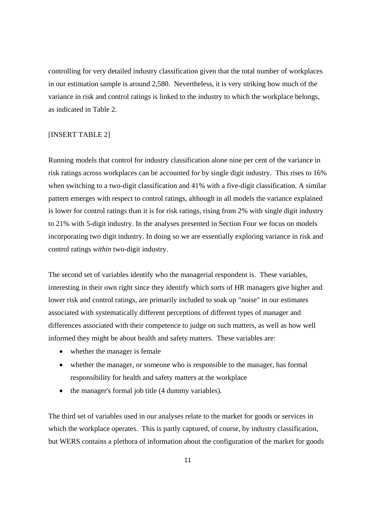controlling for very detailed industry classification given that the total number of workplaces in our estimation sample is around 2,580. Nevertheless, it is very striking how much of the variance in risk and control ratings is linked to the industry to which the workplace belongs, as indicated in Table 2.

#### [INSERT TABLE 2]

Running models that control for industry classification alone nine per cent of the variance in risk ratings across workplaces can be accounted for by single digit industry. This rises to 16% when switching to a two-digit classification and 41% with a five-digit classification. A similar pattern emerges with respect to control ratings, although in all models the variance explained is lower for control ratings than it is for risk ratings, rising from 2% with single digit industry to 21% with 5-digit industry. In the analyses presented in Section Four we focus on models incorporating two digit industry. In doing so we are essentially exploring variance in risk and control ratings *within* two-digit industry.

The second set of variables identify who the managerial respondent is. These variables, interesting in their own right since they identify which sorts of HR managers give higher and lower risk and control ratings, are primarily included to soak up "noise" in our estimates associated with systematically different perceptions of different types of manager and differences associated with their competence to judge on such matters, as well as how well informed they might be about health and safety matters. These variables are:

- whether the manager is female
- whether the manager, or someone who is responsible to the manager, has formal responsibility for health and safety matters at the workplace
- the manager's formal job title (4 dummy variables).

The third set of variables used in our analyses relate to the market for goods or services in which the workplace operates. This is partly captured, of course, by industry classification, but WERS contains a plethora of information about the configuration of the market for goods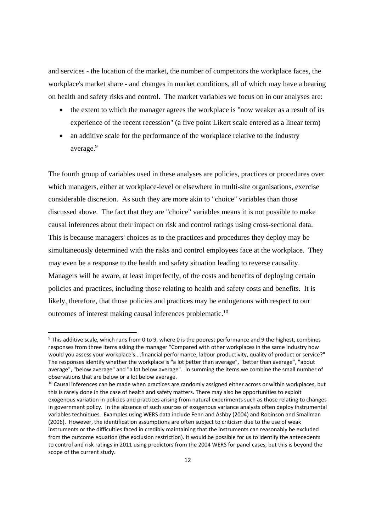and services - the location of the market, the number of competitors the workplace faces, the workplace's market share - and changes in market conditions, all of which may have a bearing on health and safety risks and control. The market variables we focus on in our analyses are:

- the extent to which the manager agrees the workplace is "now weaker as a result of its experience of the recent recession" (a five point Likert scale entered as a linear term)
- an additive scale for the performance of the workplace relative to the industry average.<sup>9</sup>

The fourth group of variables used in these analyses are policies, practices or procedures over which managers, either at workplace-level or elsewhere in multi-site organisations, exercise considerable discretion. As such they are more akin to "choice" variables than those discussed above. The fact that they are "choice" variables means it is not possible to make causal inferences about their impact on risk and control ratings using cross-sectional data. This is because managers' choices as to the practices and procedures they deploy may be simultaneously determined with the risks and control employees face at the workplace. They may even be a response to the health and safety situation leading to reverse causality. Managers will be aware, at least imperfectly, of the costs and benefits of deploying certain policies and practices, including those relating to health and safety costs and benefits. It is likely, therefore, that those policies and practices may be endogenous with respect to our outcomes of interest making causal inferences problematic.10

<sup>9</sup> This additive scale, which runs from 0 to 9, where 0 is the poorest performance and 9 the highest, combines responses from three items asking the manager "Compared with other workplaces in the same industry how would you assess your workplace's....financial performance, labour productivity, quality of product or service?" The responses identify whether the workplace is "a lot better than average", "better than average", "about average", "below average" and "a lot below average". In summing the items we combine the small number of observations that are below or a lot below average.

<sup>&</sup>lt;sup>10</sup> Causal inferences can be made when practices are randomly assigned either across or within workplaces, but this is rarely done in the case of health and safety matters. There may also be opportunities to exploit exogenous variation in policies and practices arising from natural experiments such as those relating to changes in government policy. In the absence of such sources of exogenous variance analysts often deploy instrumental variables techniques. Examples using WERS data include Fenn and Ashby (2004) and Robinson and Smallman (2006). However, the identification assumptions are often subject to criticism due to the use of weak instruments or the difficulties faced in credibly maintaining that the instruments can reasonably be excluded from the outcome equation (the exclusion restriction). It would be possible for us to identify the antecedents to control and risk ratings in 2011 using predictors from the 2004 WERS for panel cases, but this is beyond the scope of the current study.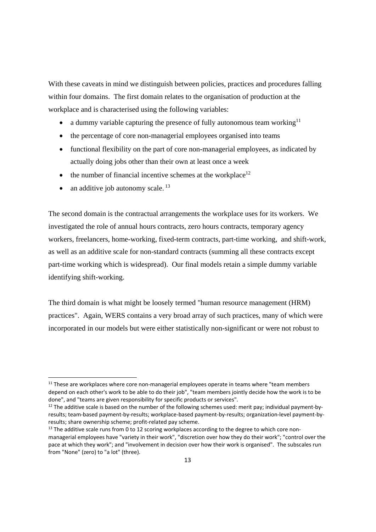With these caveats in mind we distinguish between policies, practices and procedures falling within four domains. The first domain relates to the organisation of production at the workplace and is characterised using the following variables:

- a dummy variable capturing the presence of fully autonomous team working<sup>11</sup>
- the percentage of core non-managerial employees organised into teams
- functional flexibility on the part of core non-managerial employees, as indicated by actually doing jobs other than their own at least once a week
- the number of financial incentive schemes at the workplace $12$
- an additive job autonomy scale. 13

The second domain is the contractual arrangements the workplace uses for its workers. We investigated the role of annual hours contracts, zero hours contracts, temporary agency workers, freelancers, home-working, fixed-term contracts, part-time working, and shift-work, as well as an additive scale for non-standard contracts (summing all these contracts except part-time working which is widespread). Our final models retain a simple dummy variable identifying shift-working.

The third domain is what might be loosely termed "human resource management (HRM) practices". Again, WERS contains a very broad array of such practices, many of which were incorporated in our models but were either statistically non-significant or were not robust to

 $11$  These are workplaces where core non-managerial employees operate in teams where "team members depend on each other's work to be able to do their job", "team members jointly decide how the work is to be done", and "teams are given responsibility for specific products or services".

<sup>&</sup>lt;sup>12</sup> The additive scale is based on the number of the following schemes used: merit pay; individual payment-byresults; team‐based payment‐by‐results; workplace‐based payment‐by‐results; organization‐level payment‐by‐ results; share ownership scheme; profit‐related pay scheme.

 $13$  The additive scale runs from 0 to 12 scoring workplaces according to the degree to which core nonmanagerial employees have "variety in their work", "discretion over how they do their work"; "control over the pace at which they work"; and "involvement in decision over how their work is organised". The subscales run from "None" (zero) to "a lot" (three).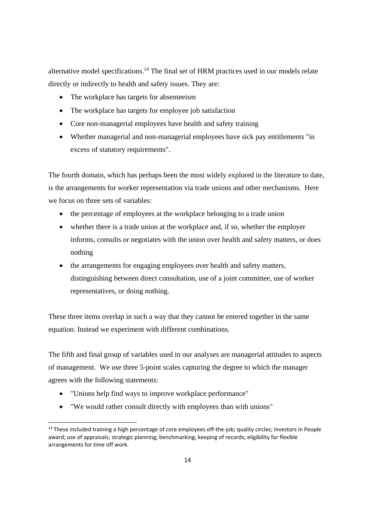alternative model specifications.14 The final set of HRM practices used in our models relate directly or indirectly to health and safety issues. They are:

- The workplace has targets for absenteeism
- The workplace has targets for employee job satisfaction
- Core non-managerial employees have health and safety training
- Whether managerial and non-managerial employees have sick pay entitlements "in excess of statutory requirements".

The fourth domain, which has perhaps been the most widely explored in the literature to date, is the arrangements for worker representation via trade unions and other mechanisms. Here we focus on three sets of variables:

- the percentage of employees at the workplace belonging to a trade union
- whether there is a trade union at the workplace and, if so, whether the employer informs, consults or negotiates with the union over health and safety matters, or does nothing
- the arrangements for engaging employees over health and safety matters, distinguishing between direct consultation, use of a joint committee, use of worker representatives, or doing nothing.

These three items overlap in such a way that they cannot be entered together in the same equation. Instead we experiment with different combinations.

The fifth and final group of variables used in our analyses are managerial attitudes to aspects of management. We use three 5-point scales capturing the degree to which the manager agrees with the following statements:

"Unions help find ways to improve workplace performance"

"We would rather consult directly with employees than with unions"

<sup>&</sup>lt;sup>14</sup> These included training a high percentage of core employees off-the-job; quality circles; Investors in People award; use of appraisals; strategic planning; benchmarking; keeping of records; eligibility for flexible arrangements for time off work.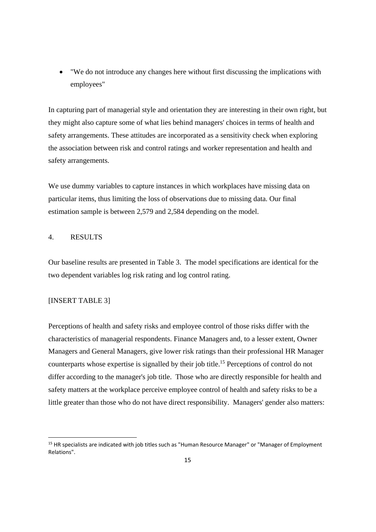"We do not introduce any changes here without first discussing the implications with employees"

In capturing part of managerial style and orientation they are interesting in their own right, but they might also capture some of what lies behind managers' choices in terms of health and safety arrangements. These attitudes are incorporated as a sensitivity check when exploring the association between risk and control ratings and worker representation and health and safety arrangements.

We use dummy variables to capture instances in which workplaces have missing data on particular items, thus limiting the loss of observations due to missing data. Our final estimation sample is between 2,579 and 2,584 depending on the model.

#### 4. RESULTS

Our baseline results are presented in Table 3. The model specifications are identical for the two dependent variables log risk rating and log control rating.

#### [INSERT TABLE 3]

Perceptions of health and safety risks and employee control of those risks differ with the characteristics of managerial respondents. Finance Managers and, to a lesser extent, Owner Managers and General Managers, give lower risk ratings than their professional HR Manager counterparts whose expertise is signalled by their job title.<sup>15</sup> Perceptions of control do not differ according to the manager's job title. Those who are directly responsible for health and safety matters at the workplace perceive employee control of health and safety risks to be a little greater than those who do not have direct responsibility. Managers' gender also matters:

<sup>&</sup>lt;sup>15</sup> HR specialists are indicated with job titles such as "Human Resource Manager" or "Manager of Employment Relations".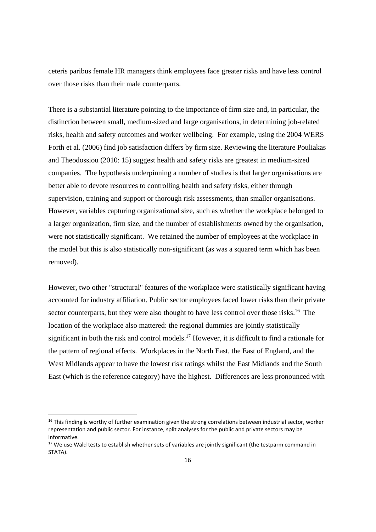ceteris paribus female HR managers think employees face greater risks and have less control over those risks than their male counterparts.

There is a substantial literature pointing to the importance of firm size and, in particular, the distinction between small, medium-sized and large organisations, in determining job-related risks, health and safety outcomes and worker wellbeing. For example, using the 2004 WERS Forth et al. (2006) find job satisfaction differs by firm size. Reviewing the literature Pouliakas and Theodossiou (2010: 15) suggest health and safety risks are greatest in medium-sized companies. The hypothesis underpinning a number of studies is that larger organisations are better able to devote resources to controlling health and safety risks, either through supervision, training and support or thorough risk assessments, than smaller organisations. However, variables capturing organizational size, such as whether the workplace belonged to a larger organization, firm size, and the number of establishments owned by the organisation, were not statistically significant. We retained the number of employees at the workplace in the model but this is also statistically non-significant (as was a squared term which has been removed).

However, two other "structural" features of the workplace were statistically significant having accounted for industry affiliation. Public sector employees faced lower risks than their private sector counterparts, but they were also thought to have less control over those risks.<sup>16</sup> The location of the workplace also mattered: the regional dummies are jointly statistically significant in both the risk and control models.<sup>17</sup> However, it is difficult to find a rationale for the pattern of regional effects. Workplaces in the North East, the East of England, and the West Midlands appear to have the lowest risk ratings whilst the East Midlands and the South East (which is the reference category) have the highest. Differences are less pronounced with

 $16$  This finding is worthy of further examination given the strong correlations between industrial sector, worker representation and public sector. For instance, split analyses for the public and private sectors may be informative.

<sup>&</sup>lt;sup>17</sup> We use Wald tests to establish whether sets of variables are jointly significant (the testparm command in STATA).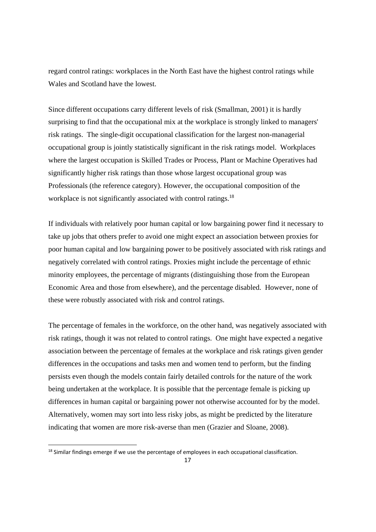regard control ratings: workplaces in the North East have the highest control ratings while Wales and Scotland have the lowest.

Since different occupations carry different levels of risk (Smallman, 2001) it is hardly surprising to find that the occupational mix at the workplace is strongly linked to managers' risk ratings. The single-digit occupational classification for the largest non-managerial occupational group is jointly statistically significant in the risk ratings model. Workplaces where the largest occupation is Skilled Trades or Process, Plant or Machine Operatives had significantly higher risk ratings than those whose largest occupational group was Professionals (the reference category). However, the occupational composition of the workplace is not significantly associated with control ratings.<sup>18</sup>

If individuals with relatively poor human capital or low bargaining power find it necessary to take up jobs that others prefer to avoid one might expect an association between proxies for poor human capital and low bargaining power to be positively associated with risk ratings and negatively correlated with control ratings. Proxies might include the percentage of ethnic minority employees, the percentage of migrants (distinguishing those from the European Economic Area and those from elsewhere), and the percentage disabled. However, none of these were robustly associated with risk and control ratings.

The percentage of females in the workforce, on the other hand, was negatively associated with risk ratings, though it was not related to control ratings. One might have expected a negative association between the percentage of females at the workplace and risk ratings given gender differences in the occupations and tasks men and women tend to perform, but the finding persists even though the models contain fairly detailed controls for the nature of the work being undertaken at the workplace. It is possible that the percentage female is picking up differences in human capital or bargaining power not otherwise accounted for by the model. Alternatively, women may sort into less risky jobs, as might be predicted by the literature indicating that women are more risk-averse than men (Grazier and Sloane, 2008).

<sup>&</sup>lt;sup>18</sup> Similar findings emerge if we use the percentage of employees in each occupational classification.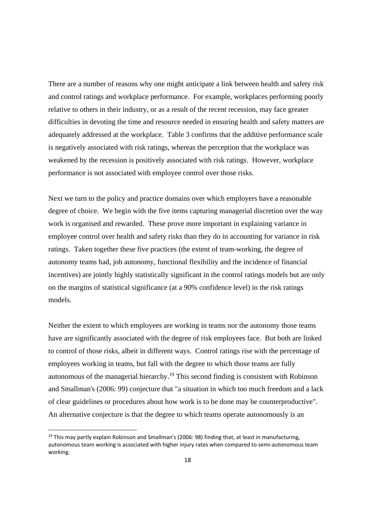There are a number of reasons why one might anticipate a link between health and safety risk and control ratings and workplace performance. For example, workplaces performing poorly relative to others in their industry, or as a result of the recent recession, may face greater difficulties in devoting the time and resource needed in ensuring health and safety matters are adequately addressed at the workplace. Table 3 confirms that the additive performance scale is negatively associated with risk ratings, whereas the perception that the workplace was weakened by the recession is positively associated with risk ratings. However, workplace performance is not associated with employee control over those risks.

Next we turn to the policy and practice domains over which employers have a reasonable degree of choice. We begin with the five items capturing managerial discretion over the way work is organised and rewarded. These prove more important in explaining variance in employee control over health and safety risks than they do in accounting for variance in risk ratings. Taken together these five practices (the extent of team-working, the degree of autonomy teams had, job autonomy, functional flexibility and the incidence of financial incentives) are jointly highly statistically significant in the control ratings models but are only on the margins of statistical significance (at a 90% confidence level) in the risk ratings models.

Neither the extent to which employees are working in teams nor the autonomy those teams have are significantly associated with the degree of risk employees face. But both are linked to control of those risks, albeit in different ways. Control ratings rise with the percentage of employees working in teams, but fall with the degree to which those teams are fully autonomous of the managerial hierarchy.19 This second finding is consistent with Robinson and Smallman's (2006: 99) conjecture that "a situation in which too much freedom and a lack of clear guidelines or procedures about how work is to be done may be counterproductive". An alternative conjecture is that the degree to which teams operate autonomously is an

<sup>&</sup>lt;sup>19</sup> This may partly explain Robinson and Smallman's (2006: 98) finding that, at least in manufacturing, autonomous team working is associated with higher injury rates when compared to semi-autonomous team working.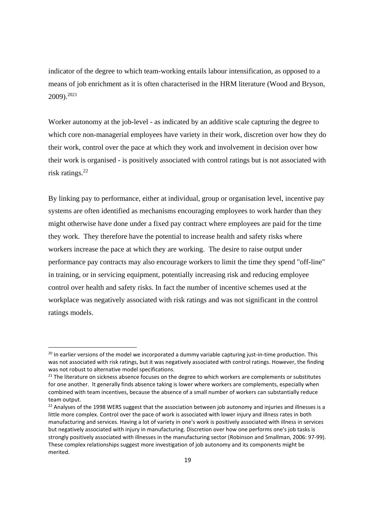indicator of the degree to which team-working entails labour intensification, as opposed to a means of job enrichment as it is often characterised in the HRM literature (Wood and Bryson, 2009).2021

Worker autonomy at the job-level - as indicated by an additive scale capturing the degree to which core non-managerial employees have variety in their work, discretion over how they do their work, control over the pace at which they work and involvement in decision over how their work is organised - is positively associated with control ratings but is not associated with risk ratings.<sup>22</sup>

By linking pay to performance, either at individual, group or organisation level, incentive pay systems are often identified as mechanisms encouraging employees to work harder than they might otherwise have done under a fixed pay contract where employees are paid for the time they work. They therefore have the potential to increase health and safety risks where workers increase the pace at which they are working. The desire to raise output under performance pay contracts may also encourage workers to limit the time they spend "off-line" in training, or in servicing equipment, potentially increasing risk and reducing employee control over health and safety risks. In fact the number of incentive schemes used at the workplace was negatively associated with risk ratings and was not significant in the control ratings models.

<sup>&</sup>lt;sup>20</sup> In earlier versions of the model we incorporated a dummy variable capturing just-in-time production. This was not associated with risk ratings, but it was negatively associated with control ratings. However, the finding was not robust to alternative model specifications.

 $21$  The literature on sickness absence focuses on the degree to which workers are complements or substitutes for one another. It generally finds absence taking is lower where workers are complements, especially when combined with team incentives, because the absence of a small number of workers can substantially reduce team output.

 $22$  Analyses of the 1998 WERS suggest that the association between job autonomy and injuries and illnesses is a little more complex. Control over the pace of work is associated with lower injury and illness rates in both manufacturing and services. Having a lot of variety in one's work is positively associated with illness in services but negatively associated with injury in manufacturing. Discretion over how one performs one's job tasks is strongly positively associated with illnesses in the manufacturing sector (Robinson and Smallman, 2006: 97‐99). These complex relationships suggest more investigation of job autonomy and its components might be merited.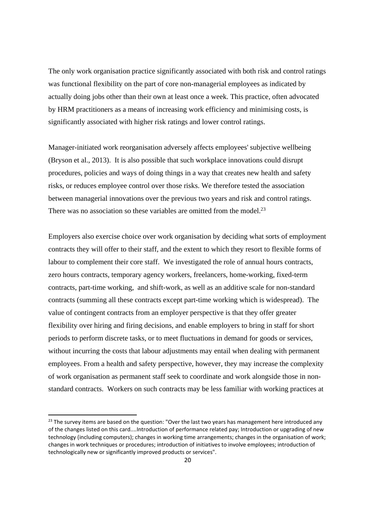The only work organisation practice significantly associated with both risk and control ratings was functional flexibility on the part of core non-managerial employees as indicated by actually doing jobs other than their own at least once a week. This practice, often advocated by HRM practitioners as a means of increasing work efficiency and minimising costs, is significantly associated with higher risk ratings and lower control ratings.

Manager-initiated work reorganisation adversely affects employees' subjective wellbeing (Bryson et al., 2013). It is also possible that such workplace innovations could disrupt procedures, policies and ways of doing things in a way that creates new health and safety risks, or reduces employee control over those risks. We therefore tested the association between managerial innovations over the previous two years and risk and control ratings. There was no association so these variables are omitted from the model.<sup>23</sup>

Employers also exercise choice over work organisation by deciding what sorts of employment contracts they will offer to their staff, and the extent to which they resort to flexible forms of labour to complement their core staff. We investigated the role of annual hours contracts, zero hours contracts, temporary agency workers, freelancers, home-working, fixed-term contracts, part-time working, and shift-work, as well as an additive scale for non-standard contracts (summing all these contracts except part-time working which is widespread). The value of contingent contracts from an employer perspective is that they offer greater flexibility over hiring and firing decisions, and enable employers to bring in staff for short periods to perform discrete tasks, or to meet fluctuations in demand for goods or services, without incurring the costs that labour adjustments may entail when dealing with permanent employees. From a health and safety perspective, however, they may increase the complexity of work organisation as permanent staff seek to coordinate and work alongside those in nonstandard contracts. Workers on such contracts may be less familiar with working practices at

 $23$  The survey items are based on the question: "Over the last two years has management here introduced any of the changes listed on this card....Introduction of performance related pay; Introduction or upgrading of new technology (including computers); changes in working time arrangements; changes in the organisation of work; changes in work techniques or procedures; introduction of initiatives to involve employees; introduction of technologically new or significantly improved products or services".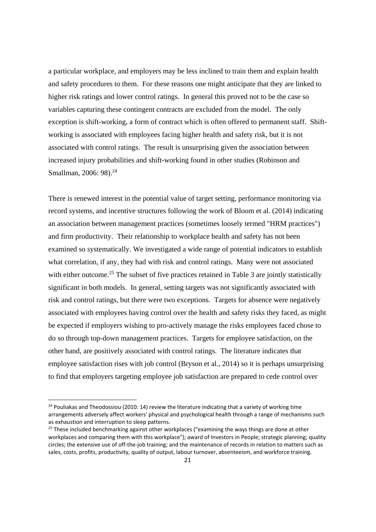a particular workplace, and employers may be less inclined to train them and explain health and safety procedures to them. For these reasons one might anticipate that they are linked to higher risk ratings and lower control ratings. In general this proved not to be the case so variables capturing these contingent contracts are excluded from the model. The only exception is shift-working, a form of contract which is often offered to permanent staff. Shiftworking is associated with employees facing higher health and safety risk, but it is not associated with control ratings. The result is unsurprising given the association between increased injury probabilities and shift-working found in other studies (Robinson and Smallman, 2006: 98).<sup>24</sup>

There is renewed interest in the potential value of target setting, performance monitoring via record systems, and incentive structures following the work of Bloom et al. (2014) indicating an association between management practices (sometimes loosely termed "HRM practices") and firm productivity. Their relationship to workplace health and safety has not been examined so systematically. We investigated a wide range of potential indicators to establish what correlation, if any, they had with risk and control ratings. Many were not associated with either outcome.<sup>25</sup> The subset of five practices retained in Table 3 are jointly statistically significant in both models. In general, setting targets was not significantly associated with risk and control ratings, but there were two exceptions. Targets for absence were negatively associated with employees having control over the health and safety risks they faced, as might be expected if employers wishing to pro-actively manage the risks employees faced chose to do so through top-down management practices. Targets for employee satisfaction, on the other hand, are positively associated with control ratings. The literature indicates that employee satisfaction rises with job control (Bryson et al., 2014) so it is perhaps unsurprising to find that employers targeting employee job satisfaction are prepared to cede control over

 $24$  Pouliakas and Theodossiou (2010: 14) review the literature indicating that a variety of working time arrangements adversely affect workers' physical and psychological health through a range of mechanisms such as exhaustion and interruption to sleep patterns.

 $25$  These included benchmarking against other workplaces ("examining the ways things are done at other workplaces and comparing them with this workplace"); award of Investors in People; strategic planning; quality circles; the extensive use of off-the-job training; and the maintenance of records in relation to matters such as sales, costs, profits, productivity, quality of output, labour turnover, absenteeism, and workforce training.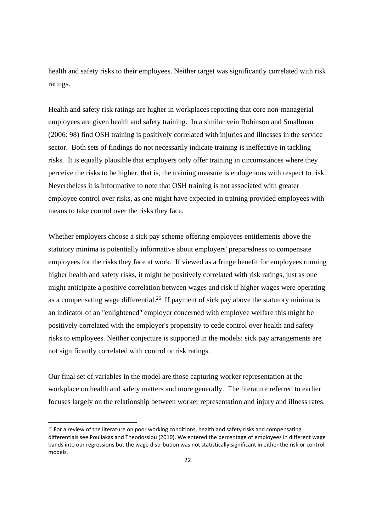health and safety risks to their employees. Neither target was significantly correlated with risk ratings.

Health and safety risk ratings are higher in workplaces reporting that core non-managerial employees are given health and safety training. In a similar vein Robinson and Smallman (2006: 98) find OSH training is positively correlated with injuries and illnesses in the service sector. Both sets of findings do not necessarily indicate training is ineffective in tackling risks. It is equally plausible that employers only offer training in circumstances where they perceive the risks to be higher, that is, the training measure is endogenous with respect to risk. Nevertheless it is informative to note that OSH training is not associated with greater employee control over risks, as one might have expected in training provided employees with means to take control over the risks they face.

Whether employers choose a sick pay scheme offering employees entitlements above the statutory minima is potentially informative about employers' preparedness to compensate employees for the risks they face at work. If viewed as a fringe benefit for employees running higher health and safety risks, it might be positively correlated with risk ratings, just as one might anticipate a positive correlation between wages and risk if higher wages were operating as a compensating wage differential.<sup>26</sup> If payment of sick pay above the statutory minima is an indicator of an "enlightened" employer concerned with employee welfare this might be positively correlated with the employer's propensity to cede control over health and safety risks to employees. Neither conjecture is supported in the models: sick pay arrangements are not significantly correlated with control or risk ratings.

Our final set of variables in the model are those capturing worker representation at the workplace on health and safety matters and more generally. The literature referred to earlier focuses largely on the relationship between worker representation and injury and illness rates.

 $26$  For a review of the literature on poor working conditions, health and safety risks and compensating differentials see Pouliakas and Theodossiou (2010). We entered the percentage of employees in different wage bands into our regressions but the wage distribution was not statistically significant in either the risk or control models.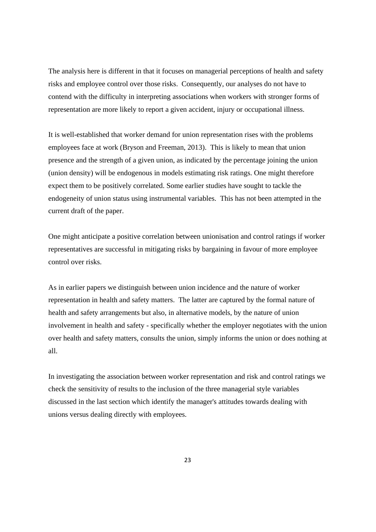The analysis here is different in that it focuses on managerial perceptions of health and safety risks and employee control over those risks. Consequently, our analyses do not have to contend with the difficulty in interpreting associations when workers with stronger forms of representation are more likely to report a given accident, injury or occupational illness.

It is well-established that worker demand for union representation rises with the problems employees face at work (Bryson and Freeman, 2013). This is likely to mean that union presence and the strength of a given union, as indicated by the percentage joining the union (union density) will be endogenous in models estimating risk ratings. One might therefore expect them to be positively correlated. Some earlier studies have sought to tackle the endogeneity of union status using instrumental variables. This has not been attempted in the current draft of the paper.

One might anticipate a positive correlation between unionisation and control ratings if worker representatives are successful in mitigating risks by bargaining in favour of more employee control over risks.

As in earlier papers we distinguish between union incidence and the nature of worker representation in health and safety matters. The latter are captured by the formal nature of health and safety arrangements but also, in alternative models, by the nature of union involvement in health and safety - specifically whether the employer negotiates with the union over health and safety matters, consults the union, simply informs the union or does nothing at all.

In investigating the association between worker representation and risk and control ratings we check the sensitivity of results to the inclusion of the three managerial style variables discussed in the last section which identify the manager's attitudes towards dealing with unions versus dealing directly with employees.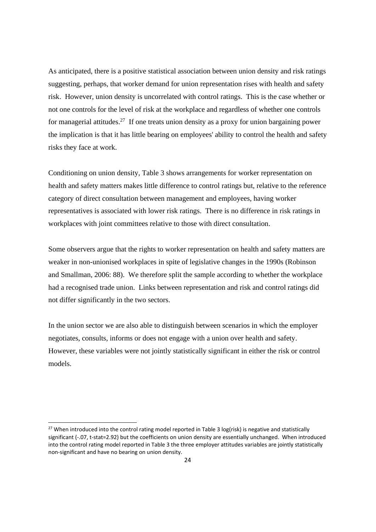As anticipated, there is a positive statistical association between union density and risk ratings suggesting, perhaps, that worker demand for union representation rises with health and safety risk. However, union density is uncorrelated with control ratings. This is the case whether or not one controls for the level of risk at the workplace and regardless of whether one controls for managerial attitudes.<sup>27</sup> If one treats union density as a proxy for union bargaining power the implication is that it has little bearing on employees' ability to control the health and safety risks they face at work.

Conditioning on union density, Table 3 shows arrangements for worker representation on health and safety matters makes little difference to control ratings but, relative to the reference category of direct consultation between management and employees, having worker representatives is associated with lower risk ratings. There is no difference in risk ratings in workplaces with joint committees relative to those with direct consultation.

Some observers argue that the rights to worker representation on health and safety matters are weaker in non-unionised workplaces in spite of legislative changes in the 1990s (Robinson and Smallman, 2006: 88). We therefore split the sample according to whether the workplace had a recognised trade union. Links between representation and risk and control ratings did not differ significantly in the two sectors.

In the union sector we are also able to distinguish between scenarios in which the employer negotiates, consults, informs or does not engage with a union over health and safety. However, these variables were not jointly statistically significant in either the risk or control models.

<sup>&</sup>lt;sup>27</sup> When introduced into the control rating model reported in Table 3 log(risk) is negative and statistically significant (-.07, t-stat=2.92) but the coefficients on union density are essentially unchanged. When introduced into the control rating model reported in Table 3 the three employer attitudes variables are jointly statistically non‐significant and have no bearing on union density.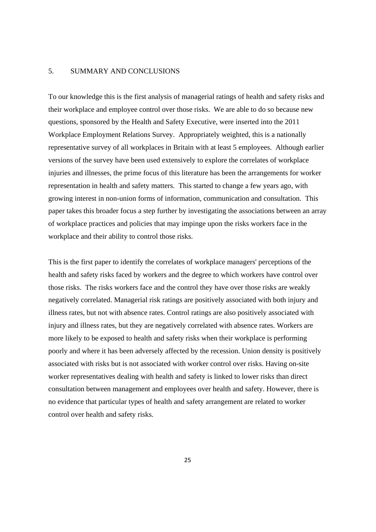#### 5. SUMMARY AND CONCLUSIONS

To our knowledge this is the first analysis of managerial ratings of health and safety risks and their workplace and employee control over those risks. We are able to do so because new questions, sponsored by the Health and Safety Executive, were inserted into the 2011 Workplace Employment Relations Survey. Appropriately weighted, this is a nationally representative survey of all workplaces in Britain with at least 5 employees. Although earlier versions of the survey have been used extensively to explore the correlates of workplace injuries and illnesses, the prime focus of this literature has been the arrangements for worker representation in health and safety matters. This started to change a few years ago, with growing interest in non-union forms of information, communication and consultation. This paper takes this broader focus a step further by investigating the associations between an array of workplace practices and policies that may impinge upon the risks workers face in the workplace and their ability to control those risks.

This is the first paper to identify the correlates of workplace managers' perceptions of the health and safety risks faced by workers and the degree to which workers have control over those risks. The risks workers face and the control they have over those risks are weakly negatively correlated. Managerial risk ratings are positively associated with both injury and illness rates, but not with absence rates. Control ratings are also positively associated with injury and illness rates, but they are negatively correlated with absence rates. Workers are more likely to be exposed to health and safety risks when their workplace is performing poorly and where it has been adversely affected by the recession. Union density is positively associated with risks but is not associated with worker control over risks. Having on-site worker representatives dealing with health and safety is linked to lower risks than direct consultation between management and employees over health and safety. However, there is no evidence that particular types of health and safety arrangement are related to worker control over health and safety risks.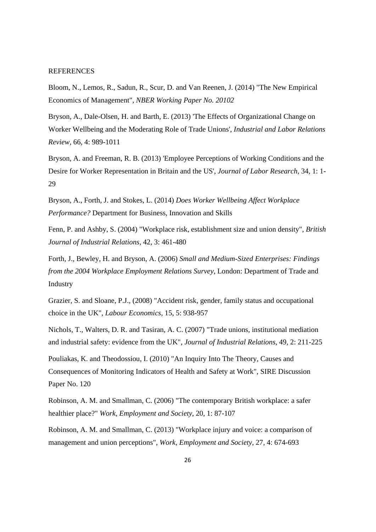#### **REFERENCES**

Bloom, N., Lemos, R., Sadun, R., Scur, D. and Van Reenen, J. (2014) "The New Empirical Economics of Management", *NBER Working Paper No. 20102* 

Bryson, A., Dale-Olsen, H. and Barth, E. (2013) 'The Effects of Organizational Change on Worker Wellbeing and the Moderating Role of Trade Unions', *Industrial and Labor Relations Review*, 66, 4: 989-1011

Bryson, A. and Freeman, R. B. (2013) 'Employee Perceptions of Working Conditions and the Desire for Worker Representation in Britain and the US', *Journal of Labor Research*, 34, 1: 1- 29

Bryson, A., Forth, J. and Stokes, L. (2014) *Does Worker Wellbeing Affect Workplace Performance?* Department for Business, Innovation and Skills

Fenn, P. and Ashby, S. (2004) "Workplace risk, establishment size and union density", *British Journal of Industrial Relations*, 42, 3: 461-480

Forth, J., Bewley, H. and Bryson, A. (2006) *Small and Medium-Sized Enterprises: Findings from the 2004 Workplace Employment Relations Survey*, London: Department of Trade and Industry

Grazier, S. and Sloane, P.J., (2008) "Accident risk, gender, family status and occupational choice in the UK", *Labour Economics*, 15, 5: 938-957

Nichols, T., Walters, D. R. and Tasiran, A. C. (2007) "Trade unions, institutional mediation and industrial safety: evidence from the UK", *Journal of Industrial Relations*, 49, 2: 211-225

Pouliakas, K. and Theodossiou, I. (2010) "An Inquiry Into The Theory, Causes and Consequences of Monitoring Indicators of Health and Safety at Work", SIRE Discussion Paper No. 120

Robinson, A. M. and Smallman, C. (2006) "The contemporary British workplace: a safer healthier place?" *Work, Employment and Society*, 20, 1: 87-107

Robinson, A. M. and Smallman, C. (2013) "Workplace injury and voice: a comparison of management and union perceptions", *Work, Employment and Society*, 27, 4: 674-693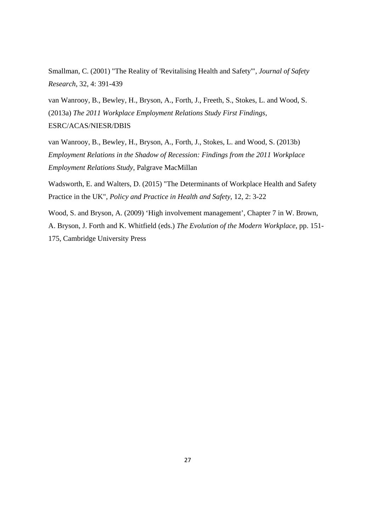Smallman, C. (2001) "The Reality of 'Revitalising Health and Safety'", *Journal of Safety Research*, 32, 4: 391-439

van Wanrooy, B., Bewley, H., Bryson, A., Forth, J., Freeth, S., Stokes, L. and Wood, S. (2013a) *The 2011 Workplace Employment Relations Study First Findings*, ESRC/ACAS/NIESR/DBIS

van Wanrooy, B., Bewley, H., Bryson, A., Forth, J., Stokes, L. and Wood, S. (2013b) *Employment Relations in the Shadow of Recession: Findings from the 2011 Workplace Employment Relations Study*, Palgrave MacMillan

Wadsworth, E. and Walters, D. (2015) "The Determinants of Workplace Health and Safety Practice in the UK", *Policy and Practice in Health and Safety*, 12, 2: 3-22

Wood, S. and Bryson, A. (2009) 'High involvement management', Chapter 7 in W. Brown, A. Bryson, J. Forth and K. Whitfield (eds.) *The Evolution of the Modern Workplace*, pp. 151- 175, Cambridge University Press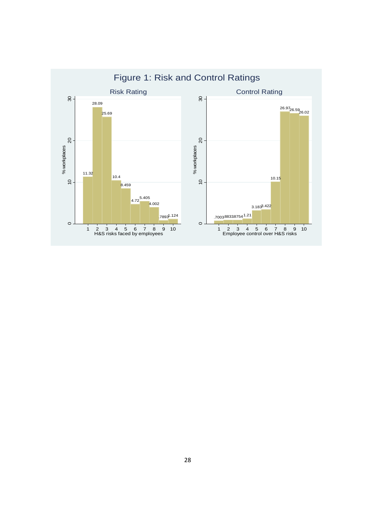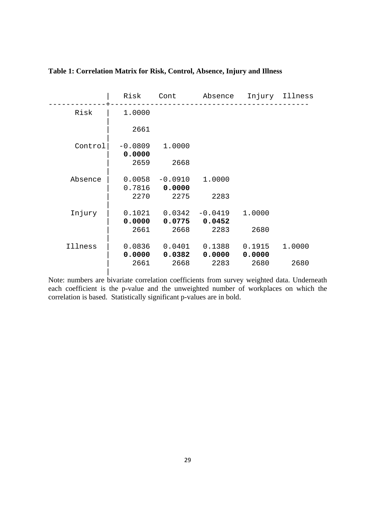|         | Risk                | Cont                | Absence             |                  | Injury Illness |
|---------|---------------------|---------------------|---------------------|------------------|----------------|
| Risk    | 1.0000              |                     |                     |                  |                |
|         | 2661                |                     |                     |                  |                |
| Control | $-0.0809$<br>0.0000 | 1.0000              |                     |                  |                |
|         | 2659                | 2668                |                     |                  |                |
| Absence | 0.0058<br>0.7816    | $-0.0910$<br>0.0000 | 1.0000              |                  |                |
|         | 2270                | 2275                | 2283                |                  |                |
| Injury  | 0.1021<br>0.0000    | 0.0342<br>0.0775    | $-0.0419$<br>0.0452 | 1.0000           |                |
|         | 2661                | 2668                | 2283                | 2680             |                |
| Illness | 0.0836<br>0.0000    | 0.0401<br>0.0382    | 0.1388<br>0.0000    | 0.1915<br>0.0000 | 1.0000         |
|         | 2661                | 2668                | 2283                | 2680             | 2680           |

### **Table 1: Correlation Matrix for Risk, Control, Absence, Injury and Illness**

Note: numbers are bivariate correlation coefficients from survey weighted data. Underneath each coefficient is the p-value and the unweighted number of workplaces on which the correlation is based. Statistically significant p-values are in bold.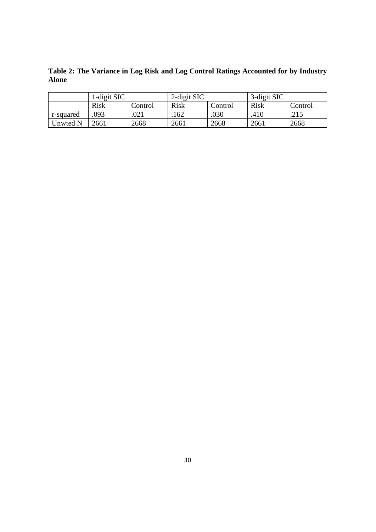**Table 2: The Variance in Log Risk and Log Control Ratings Accounted for by Industry Alone** 

| 1-digit SIC |             | 2-digit SIC |             | 3-digit SIC |      |         |
|-------------|-------------|-------------|-------------|-------------|------|---------|
|             | <b>Risk</b> | Control     | <b>Risk</b> | Control     | Risk | Control |
| r-squared   | 093         | 021         | .162        | .030        | .410 | .215    |
| Unwted N    | 2661        | 2668        | 2661        | 2668        | 2661 | 2668    |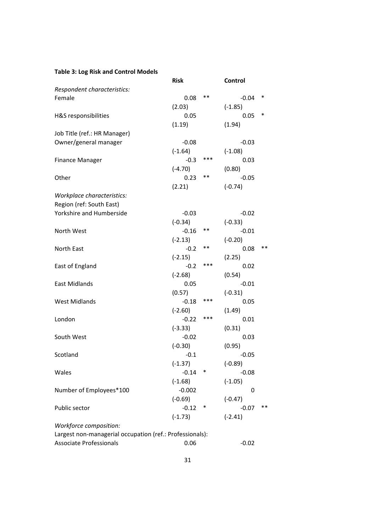### **Table 3: Log Risk and Control Models**

|                                                          | <b>Risk</b> |       | Control   |       |
|----------------------------------------------------------|-------------|-------|-----------|-------|
| Respondent characteristics:                              |             |       |           |       |
| Female                                                   | 0.08        | **    | $-0.04$   | ∗     |
|                                                          | (2.03)      |       | $(-1.85)$ |       |
| H&S responsibilities                                     | 0.05        |       | 0.05      | *     |
|                                                          | (1.19)      |       | (1.94)    |       |
| Job Title (ref.: HR Manager)                             |             |       |           |       |
| Owner/general manager                                    | $-0.08$     |       | $-0.03$   |       |
|                                                          | $(-1.64)$   |       | $(-1.08)$ |       |
| <b>Finance Manager</b>                                   | $-0.3$      | ***   | 0.03      |       |
|                                                          | $(-4.70)$   |       | (0.80)    |       |
| Other                                                    | 0.23        | $***$ | $-0.05$   |       |
|                                                          | (2.21)      |       | $(-0.74)$ |       |
| Workplace characteristics:                               |             |       |           |       |
| Region (ref: South East)                                 |             |       |           |       |
| Yorkshire and Humberside                                 | $-0.03$     |       | $-0.02$   |       |
|                                                          | $(-0.34)$   |       | $(-0.33)$ |       |
| North West                                               | $-0.16$     | $***$ | $-0.01$   |       |
|                                                          | $(-2.13)$   |       | $(-0.20)$ |       |
| North East                                               | $-0.2$      | **    | 0.08      | $***$ |
|                                                          | $(-2.15)$   |       | (2.25)    |       |
| East of England                                          | $-0.2$      | ***   | 0.02      |       |
|                                                          | $(-2.68)$   |       | (0.54)    |       |
| <b>East Midlands</b>                                     | 0.05        |       | $-0.01$   |       |
|                                                          | (0.57)      |       | $(-0.31)$ |       |
| <b>West Midlands</b>                                     | $-0.18$     | ***   | 0.05      |       |
|                                                          | $(-2.60)$   |       | (1.49)    |       |
| London                                                   | $-0.22$     | ***   | 0.01      |       |
|                                                          | $(-3.33)$   |       | (0.31)    |       |
| South West                                               | $-0.02$     |       | 0.03      |       |
|                                                          | $(-0.30)$   |       | (0.95)    |       |
| Scotland                                                 | $-0.1$      |       | $-0.05$   |       |
|                                                          | $(-1.37)$   |       | $(-0.89)$ |       |
| Wales                                                    | $-0.14$     | *     | $-0.08$   |       |
|                                                          | $(-1.68)$   |       | $(-1.05)$ |       |
| Number of Employees*100                                  | $-0.002$    |       | 0         |       |
|                                                          | $(-0.69)$   |       | $(-0.47)$ |       |
| Public sector                                            | $-0.12$     | *     | $-0.07$   | **    |
|                                                          | $(-1.73)$   |       | $(-2.41)$ |       |
| Workforce composition:                                   |             |       |           |       |
| Largest non-managerial occupation (ref.: Professionals): |             |       |           |       |
| <b>Associate Professionals</b>                           | 0.06        |       | $-0.02$   |       |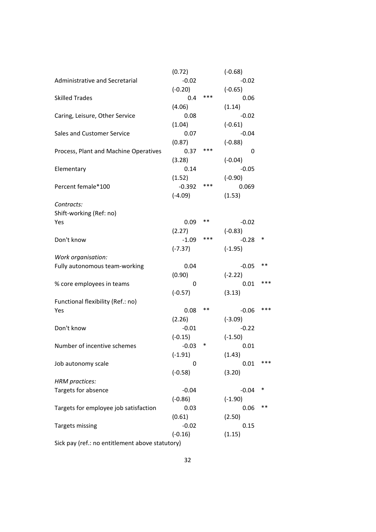|                                                 | (0.72)    |        | $(-0.68)$ |     |
|-------------------------------------------------|-----------|--------|-----------|-----|
| Administrative and Secretarial                  | $-0.02$   |        | $-0.02$   |     |
|                                                 | $(-0.20)$ |        | $(-0.65)$ |     |
| <b>Skilled Trades</b>                           | 0.4       | ***    | 0.06      |     |
|                                                 | (4.06)    |        | (1.14)    |     |
| Caring, Leisure, Other Service                  | 0.08      |        | $-0.02$   |     |
|                                                 | (1.04)    |        | $(-0.61)$ |     |
| Sales and Customer Service                      | 0.07      |        | $-0.04$   |     |
|                                                 | (0.87)    |        | $(-0.88)$ |     |
| Process, Plant and Machine Operatives           | 0.37      | ***    | 0         |     |
|                                                 | (3.28)    |        | $(-0.04)$ |     |
| Elementary                                      | 0.14      |        | $-0.05$   |     |
|                                                 | (1.52)    |        | $(-0.90)$ |     |
| Percent female*100                              | $-0.392$  | ***    | 0.069     |     |
|                                                 | $(-4.09)$ |        | (1.53)    |     |
| Contracts:                                      |           |        |           |     |
| Shift-working (Ref: no)                         |           |        |           |     |
| Yes                                             | 0.09      | **     | $-0.02$   |     |
|                                                 | (2.27)    |        | $(-0.83)$ |     |
| Don't know                                      | $-1.09$   | ***    | $-0.28$   | ∗   |
|                                                 | $(-7.37)$ |        | $(-1.95)$ |     |
| Work organisation:                              |           |        |           |     |
| Fully autonomous team-working                   | 0.04      |        | $-0.05$   | **  |
|                                                 | (0.90)    |        | $(-2.22)$ |     |
| % core employees in teams                       | 0         |        | 0.01      | *** |
|                                                 | $(-0.57)$ |        | (3.13)    |     |
| Functional flexibility (Ref.: no)               |           |        |           |     |
| Yes                                             | 0.08      | **     | $-0.06$   | *** |
|                                                 | (2.26)    |        | $(-3.09)$ |     |
| Don't know                                      | $-0.01$   |        | $-0.22$   |     |
|                                                 | $(-0.15)$ |        | $(-1.50)$ |     |
| Number of incentive schemes                     | $-0.03$   | $\ast$ | 0.01      |     |
|                                                 | $(-1.91)$ |        | (1.43)    |     |
|                                                 | 0         |        | 0.01      | *** |
| Job autonomy scale                              |           |        |           |     |
|                                                 | $(-0.58)$ |        | (3.20)    |     |
| <b>HRM</b> practices:<br>Targets for absence    |           |        |           | ∗   |
|                                                 | $-0.04$   |        | $-0.04$   |     |
|                                                 | $(-0.86)$ |        | $(-1.90)$ | **  |
| Targets for employee job satisfaction           | 0.03      |        | 0.06      |     |
|                                                 | (0.61)    |        | (2.50)    |     |
| <b>Targets missing</b>                          | $-0.02$   |        | 0.15      |     |
|                                                 | $(-0.16)$ |        | (1.15)    |     |
| Sick pay (ref.: no entitlement above statutory) |           |        |           |     |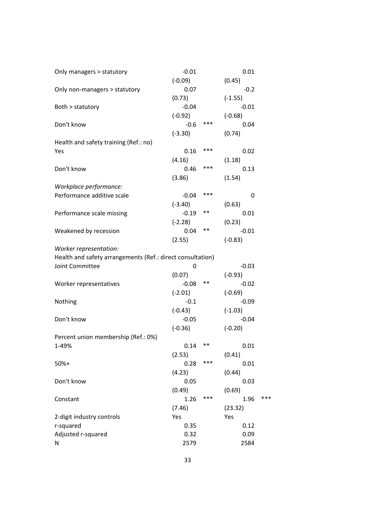| Only managers > statutory                                  | $-0.01$   |     | 0.01      |     |
|------------------------------------------------------------|-----------|-----|-----------|-----|
|                                                            | $(-0.09)$ |     | (0.45)    |     |
| Only non-managers > statutory                              | 0.07      |     | $-0.2$    |     |
|                                                            | (0.73)    |     | $(-1.55)$ |     |
| Both > statutory                                           | $-0.04$   |     | $-0.01$   |     |
|                                                            | $(-0.92)$ |     | $(-0.68)$ |     |
| Don't know                                                 | $-0.6$    | *** | 0.04      |     |
|                                                            | $(-3.30)$ |     | (0.74)    |     |
| Health and safety training (Ref.: no)                      |           |     |           |     |
| Yes                                                        | 0.16      | *** | 0.02      |     |
|                                                            | (4.16)    |     | (1.18)    |     |
| Don't know                                                 | 0.46      | *** | 0.13      |     |
|                                                            | (3.86)    |     | (1.54)    |     |
| Workplace performance:                                     |           |     |           |     |
| Performance additive scale                                 | $-0.04$   | *** | 0         |     |
|                                                            | $(-3.40)$ |     | (0.63)    |     |
| Performance scale missing                                  | $-0.19$   | **  | 0.01      |     |
|                                                            | $(-2.28)$ |     | (0.23)    |     |
| Weakened by recession                                      | 0.04      | **  | $-0.01$   |     |
|                                                            | (2.55)    |     | $(-0.83)$ |     |
| Worker representation:                                     |           |     |           |     |
| Health and safety arrangements (Ref.: direct consultation) |           |     |           |     |
| Joint Committee                                            | 0         |     | $-0.03$   |     |
|                                                            | (0.07)    |     | $(-0.93)$ |     |
| Worker representatives                                     | $-0.08$   | **  | $-0.02$   |     |
|                                                            | $(-2.01)$ |     | $(-0.69)$ |     |
| Nothing                                                    | $-0.1$    |     | $-0.09$   |     |
|                                                            | $(-0.43)$ |     | $(-1.03)$ |     |
| Don't know                                                 | $-0.05$   |     |           |     |
|                                                            |           |     | $-0.04$   |     |
|                                                            | $(-0.36)$ |     | $(-0.20)$ |     |
| Percent union membership (Ref.: 0%)                        |           | **  |           |     |
| 1-49%                                                      | 0.14      |     | 0.01      |     |
|                                                            | (2.53)    | *** | (0.41)    |     |
| $50%+$                                                     | 0.28      |     | 0.01      |     |
|                                                            | (4.23)    |     | (0.44)    |     |
| Don't know                                                 | 0.05      |     | 0.03      |     |
|                                                            | (0.49)    |     | (0.69)    |     |
| Constant                                                   | 1.26      | *** | 1.96      | *** |
|                                                            | (7.46)    |     | (23.32)   |     |
| 2-digit industry controls                                  | Yes       |     | Yes       |     |
| r-squared                                                  | 0.35      |     | 0.12      |     |
| Adjusted r-squared                                         | 0.32      |     | 0.09      |     |
| N                                                          | 2579      |     | 2584      |     |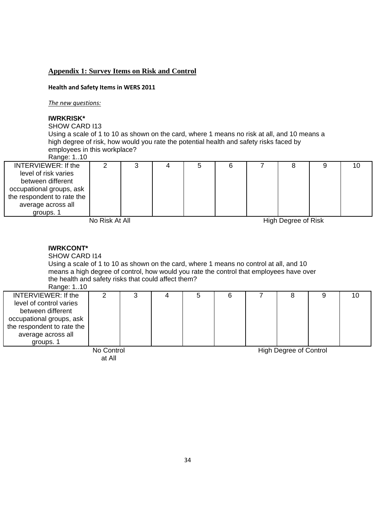#### **Appendix 1: Survey Items on Risk and Control**

#### **Health and Safety Items in WERS 2011**

*The new questions:*

#### **IWRKRISK\***

SHOW CARD I13

Using a scale of 1 to 10 as shown on the card, where 1 means no risk at all, and 10 means a high degree of risk, how would you rate the potential health and safety risks faced by employees in this workplace?

### Range: 1..10

| INTERVIEWER: If the        | w |  |  |  |  |
|----------------------------|---|--|--|--|--|
| level of risk varies       |   |  |  |  |  |
| between different          |   |  |  |  |  |
| occupational groups, ask   |   |  |  |  |  |
| the respondent to rate the |   |  |  |  |  |
| average across all         |   |  |  |  |  |
| groups. 1                  |   |  |  |  |  |

No Risk At All High Degree of Risk

#### **IWRKCONT\***

SHOW CARD I14

Using a scale of 1 to 10 as shown on the card, where 1 means no control at all, and 10 means a high degree of control, how would you rate the control that employees have over the health and safety risks that could affect them?

Range: 1..10

| INTERVIEWER: If the        |  |  |  |  | 10 |
|----------------------------|--|--|--|--|----|
| level of control varies    |  |  |  |  |    |
| between different          |  |  |  |  |    |
| occupational groups, ask   |  |  |  |  |    |
| the respondent to rate the |  |  |  |  |    |
| average across all         |  |  |  |  |    |
| groups.                    |  |  |  |  |    |

No Control at All

High Degree of Control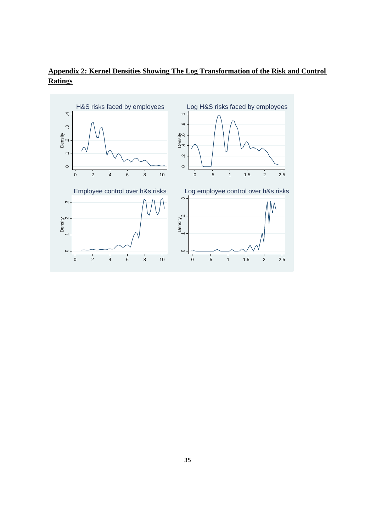

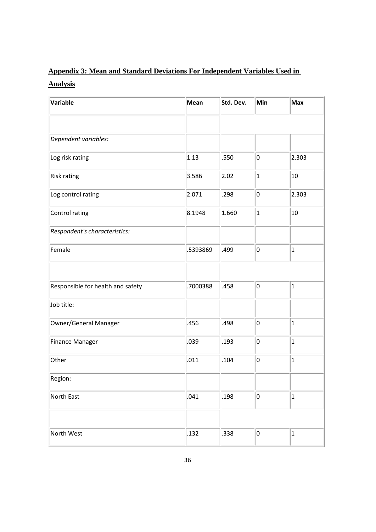## **Appendix 3: Mean and Standard Deviations For Independent Variables Used in Analysis**

| Variable                          | Mean     | Std. Dev. | Min                     | Max                     |
|-----------------------------------|----------|-----------|-------------------------|-------------------------|
|                                   |          |           |                         |                         |
| Dependent variables:              |          |           |                         |                         |
| Log risk rating                   | 1.13     | .550      | 0                       | 2.303                   |
| <b>Risk rating</b>                | 3.586    | 2.02      | $\overline{\mathbf{1}}$ | 10                      |
| Log control rating                | 2.071    | .298      | 0                       | 2.303                   |
| Control rating                    | 8.1948   | 1.660     | $\vert$ 1               | 10                      |
| Respondent's characteristics:     |          |           |                         |                         |
| Female                            | .5393869 | .499      | 0                       | $\overline{\mathbf{1}}$ |
|                                   |          |           |                         |                         |
| Responsible for health and safety | .7000388 | .458      | 0                       | $\overline{\mathbf{1}}$ |
| Job title:                        |          |           |                         |                         |
| Owner/General Manager             | .456     | .498      | 0                       | $\mathbf{1}$            |
| <b>Finance Manager</b>            | .039     | .193      | 0                       | $\overline{\mathbf{1}}$ |
| Other                             | .011     | .104      | 0                       | $\mathbf{1}$            |
| Region:                           |          |           |                         |                         |
| North East                        | .041     | .198      | 0                       | $\overline{\mathbf{1}}$ |
|                                   |          |           |                         |                         |
| North West                        | .132     | .338      | 0                       | $\mathbf{1}$            |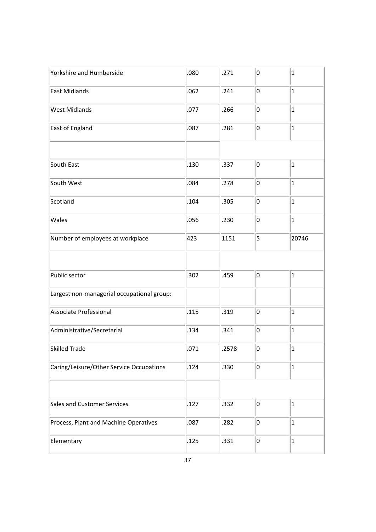| Yorkshire and Humberside                   | .080 | .271  | 0 | $\vert$ 1               |
|--------------------------------------------|------|-------|---|-------------------------|
| East Midlands                              | .062 | .241  | 0 | $\vert$ 1               |
| <b>West Midlands</b>                       | .077 | .266  | 0 | $\overline{\mathbf{1}}$ |
| East of England                            | .087 | .281  | 0 | $\vert$ 1               |
|                                            |      |       |   |                         |
| South East                                 | .130 | .337  | 0 | $\mathbf{1}$            |
| South West                                 | .084 | .278  | 0 | $\overline{\mathbf{1}}$ |
| Scotland                                   | .104 | .305  | 0 | $\vert$ 1               |
| Wales                                      | .056 | .230  | 0 | $\vert$ 1               |
| Number of employees at workplace           | 423  | 1151  | 5 | 20746                   |
|                                            |      |       |   |                         |
| Public sector                              | .302 | .459  | 0 | $\vert$ 1               |
| Largest non-managerial occupational group: |      |       |   |                         |
| Associate Professional                     | .115 | .319  | 0 | $\overline{\mathbf{1}}$ |
| Administrative/Secretarial                 | .134 | .341  | 0 | $\vert$ 1               |
| Skilled Trade                              | .071 | .2578 | 0 | $\vert$ 1               |
| Caring/Leisure/Other Service Occupations   | .124 | .330  | 0 | $\overline{\mathbf{1}}$ |
|                                            |      |       |   |                         |
| Sales and Customer Services                | .127 | .332  | 0 | $\vert$ 1               |
| Process, Plant and Machine Operatives      | .087 | .282  | 0 | $\mathbf{1}$            |
| Elementary                                 | .125 | .331  | 0 | $\vert$ 1               |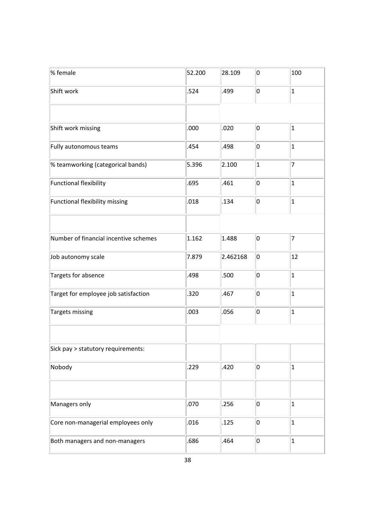| % female                              | 52.200 | 28.109   | 0         | 100                     |
|---------------------------------------|--------|----------|-----------|-------------------------|
| Shift work                            | .524   | .499     | 0         | $\vert$ 1               |
|                                       |        |          |           |                         |
| Shift work missing                    | .000   | .020     | 0         | $\overline{1}$          |
| Fully autonomous teams                | .454   | .498     | 0         | $\overline{\mathbf{1}}$ |
| % teamworking (categorical bands)     | 5.396  | 2.100    | $\vert$ 1 | 7                       |
| <b>Functional flexibility</b>         | .695   | .461     | 0         | $\overline{\mathbf{1}}$ |
| Functional flexibility missing        | .018   | .134     | 0         | $\overline{\mathbf{1}}$ |
|                                       |        |          |           |                         |
| Number of financial incentive schemes | 1.162  | 1.488    | 0         | 7                       |
| Job autonomy scale                    | 7.879  | 2.462168 | 0         | 12                      |
| Targets for absence                   | .498   | .500     | 0         | $\overline{\mathbf{1}}$ |
| Target for employee job satisfaction  | .320   | .467     | 0         | $\overline{\mathbf{1}}$ |
| <b>Targets missing</b>                | .003   | .056     | 0         | $\mathbf{1}$            |
|                                       |        |          |           |                         |
| Sick pay > statutory requirements:    |        |          |           |                         |
| Nobody                                | .229   | .420     | 0         | $\vert$ 1               |
|                                       |        |          |           |                         |
| Managers only                         | .070   | .256     | 0         | $\overline{\mathbf{1}}$ |
| Core non-managerial employees only    | .016   | .125     | 0         | $\overline{\mathbf{1}}$ |
| Both managers and non-managers        | .686   | .464     | 0         | $\mathbf{1}$            |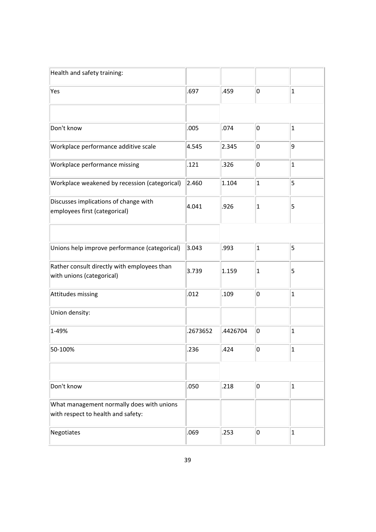| Health and safety training:                                                     |          |          |                |                         |
|---------------------------------------------------------------------------------|----------|----------|----------------|-------------------------|
| Yes                                                                             | .697     | .459     | 0              | $\vert$ 1               |
|                                                                                 |          |          |                |                         |
| Don't know                                                                      | .005     | .074     | 0              | $\mathbf{1}$            |
| Workplace performance additive scale                                            | 4.545    | 2.345    | 0              | 9                       |
| Workplace performance missing                                                   | .121     | .326     | 0              | $\overline{1}$          |
| Workplace weakened by recession (categorical)                                   | 2.460    | 1.104    | $\vert$ 1      | 5                       |
| Discusses implications of change with<br>employees first (categorical)          | 4.041    | .926     | $\vert$ 1      | 5                       |
|                                                                                 |          |          |                |                         |
| Unions help improve performance (categorical)                                   | 3.043    | .993     | $\vert$ 1      | 5                       |
| Rather consult directly with employees than<br>with unions (categorical)        | 3.739    | 1.159    | $\overline{1}$ | 5                       |
| Attitudes missing                                                               | .012     | .109     | 0              | $\overline{1}$          |
| Union density:                                                                  |          |          |                |                         |
| 1-49%                                                                           | .2673652 | .4426704 | 0              | $\overline{1}$          |
| 50-100%                                                                         | 236      | .424     | n.             | $\overline{\mathbf{1}}$ |
|                                                                                 |          |          |                |                         |
| Don't know                                                                      | .050     | .218     | 0              | $\vert$ 1               |
| What management normally does with unions<br>with respect to health and safety: |          |          |                |                         |
| Negotiates                                                                      | .069     | .253     | 0              | $\overline{1}$          |